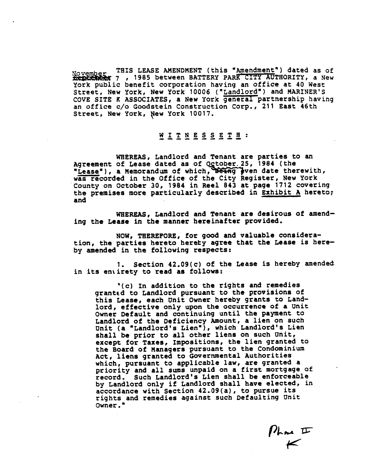THIS LEASE AMENDMENT (this "Amendment") dated as of November THIS LEASE AMENUMENT (CITS AUTHORITY, a New York public benefit corporation having an office at 40 West Street, New York, New York 10006 ("Landlord") and MARINER'S COVE SITE **K** ASSOCIATES, a New York general partnership having an office c/o Goodstein Construction Corp., 211 East 46th Street, New York, New York 10017.

## WITNESSETH: **------do--**

WHEREAS, Landlord and Tenant are parties to an And Agreement of Lease dated as of October. 25, 1984 (the orice c/o Goodstein Construction Corp., 211 East 40th<br>reet, New York, New York 10017.<br> $\frac{M}{2}$  I T N E S S E T E :<br>WHEREAS, Landlord and Tenant are parties to an<br>reement of Lease dated as of October 25, 1984 (the<br>ease"), was recorded in the Office of the City Register, New York .County on October 30, 1984 in Reel 843 at page 1712 covering. the premises more particularly described in Exhibit A hereto.; and

**WHEREAS,** Landlord and Tenant are desirous of amending the Lease in the manner hereinafter provided.

NOW, THEREFORE, for good and valuable consideration, the parties hereto hereby agree that the Lease is hereby amended in the foIlowing respects:

**1.** Section 42.09(c) of the Lease is hereby amended in its entirety to read as follows:

'(c) In addition to the rights and remedies granted to Landlord pursuant to the provisions of this Lease, each Unit Owner hereby grants to Landlord, effective only **upon** the occurrence of a Unit Owner Default and continuing until the payment to Landlord of the Deficiency Amount, a lien on such Unit (a "Landlord's Lien"), which Landlord's Lien shall be prior to all other liens on such Unit, except for Taxes, Impositions, the lien granted to the Board of Managers pursuant to the Condominium Act, liens granted to Governmental Authorities which, pursuant to applicable law, are granted a priority and all sums unpaid on a first mortgage of record, Such Landlord's Lien shall be enforceable by Landlord only if Landlord shall have elected, in accordance with Section 42.09(a), to pursue its rights and remedies against such Defaulting Unit Owner.

 $M_{\textrm{max}}$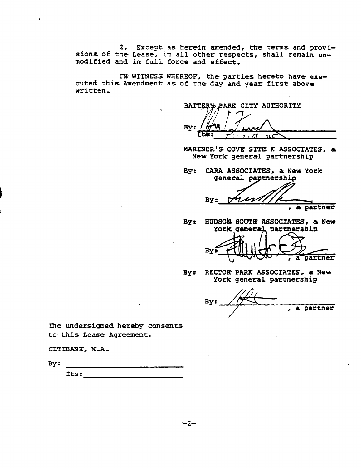**2,** Except as **herein** amended, **the** tams and provisions of the Lease, in all other **respects,** shall remain unmodified and in full force and effect,

IN WITNESS WHEREOF, the parties hereto have executed this Amendment **as** of the day and: **year first** above written,

**BATTERY PARK CITY AUTHORITY** By:

**MARINER'S COVE SITE R ASSOCIATES, ai**  New **York** general partnership

**By:** CARA **ASSOCIATES, a;.** New **York**  general partnership

**By:**  , **<sup>a</sup>**partner

**By: BUDS0 SOUTE ASSOCIATES, a New**  York general partnership

Bv: a partner

**By: RECTOR PARK ASSOCIATES,, a** New

York general partnership<br>By:  $\overbrace{ }$  , a part , a partner

The undersigned **hereby** consents **to this** Lease Agreement,

CITIBANK, N.A.

**By:** 

**Its:**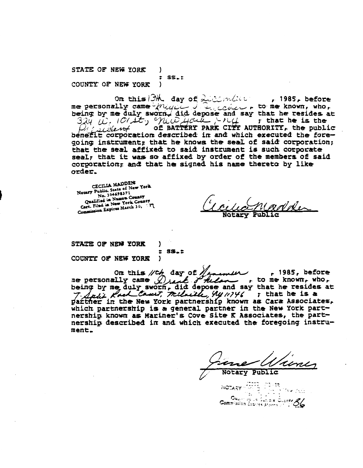STATE OF NEW YORK  $\lambda$  $:$   $ss_{-}$ : COUNTY OF NEW YORK  $\lambda$ 

On this BM day of Licencial  $, 1985,$  before me personally came  $\sqrt{n_{UU}}$  , i.e. and no me known, who, being by me duly sworn, did depose and say that he resides at  $324$  i. IOIst, Will Houte  $-14$  , that he is the of BATTERY PARK CITY AUTHORITY, the public Proceedent benefit corporation described in and which executed the foregoing instrument; that he knows the seal of said corporation; that the seal affixed to said instrument is such corporate seal; that it was so affixed by order of the members of said corporation; and that he signed his name thereto by like order.

CECILIA MADDEN Notary Public, State of New York No. 304698371 Qualified in Nassau County Cart. Filed in New York County Commission Expires March 30, 57

**Notary** 

STATE OF NEW YORK COUNTY OF NEW YORK

Ι.  $\overline{\mathbf{r}}$  $ss_{\bullet}$ : Y

On this  $/\!/$ th day of  $/\!/$  $\sim$  1985, before me personally came  $\bigcirc$  and  $\bigcirc$  allowing to me known, who, being by me duly sworn, did depose and say that he resides at T. Salit Rock Camit, Melaille, 4411746 ; that he is a partner in the New York partnership known as Cara Associates, which partnership is a general partner in the New York partnership known as Mariner's Cove Site K Associates, the partnership described in and which executed the foregoing instrument.

otary Public

NOTARY 5775

≧°5. l

**Commission Expires Aterna** v

् उप**हर**<br>प

Oualista de la Supidix Cubrity 66

 $\ell$ sia  $\ell_1,\ell_2$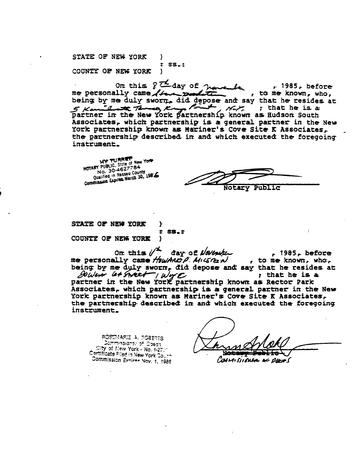STATE OF NEW YORK  $\lambda$  $:$  SS. $:$ COUNTY OF NEW YORK  $\lambda$ 

On this  $\sqrt{2}$  day of  $\pi$  $, 1985,$  before me personally came //ww , to me known, who, being by me duly sworn, did depose and say that he resides at  $\overline{\phantom{a}}$ ا سائل 5 Kamilwatt Termes, Kr  $\mathcal{M}$ ,  $\mathcal{M}$ ,  $\mathcal{M}$  , that he is a partner in the New York partnership known as Hudson South Associates, which partnership is a general partner in the New York partnership known as Mariner's Cove Site K Associates, the partnership described in and which executed the foregoing instrument.

NOTARY PUBLIC, State of New York No. 30-4627784 Qualified in Nassau County Commission Expires. March 30, 1986

Notary Public

STATE OF NEW YORK Y  $\bullet$ COUNTY OF NEW YORK ł

On this  $\mathscr{U}^{\mathbf{L}}$ đay of November  $.1985.$  before me personally came HowANDP. MIGREN , to me known, who. being by me duly sworn, did depose and say that he resides at DUVEN G+ STREET I WOTE

**SS.:** 

t that he is a partner in the New York partnership known as Rector Park Associates, which partnership is a general partner in the New York partnership known as Mariner's Cove Site K Associates, the partnership described in and which executed the foregoing instrument.

ROSEMARIE A. POBERTS Dommissioner of Doeas City of New York - No. 1-271 Certificate Filed in New York Court Commission Exniree Nov. 1, 1986

COUMISSIONER AC DEERS